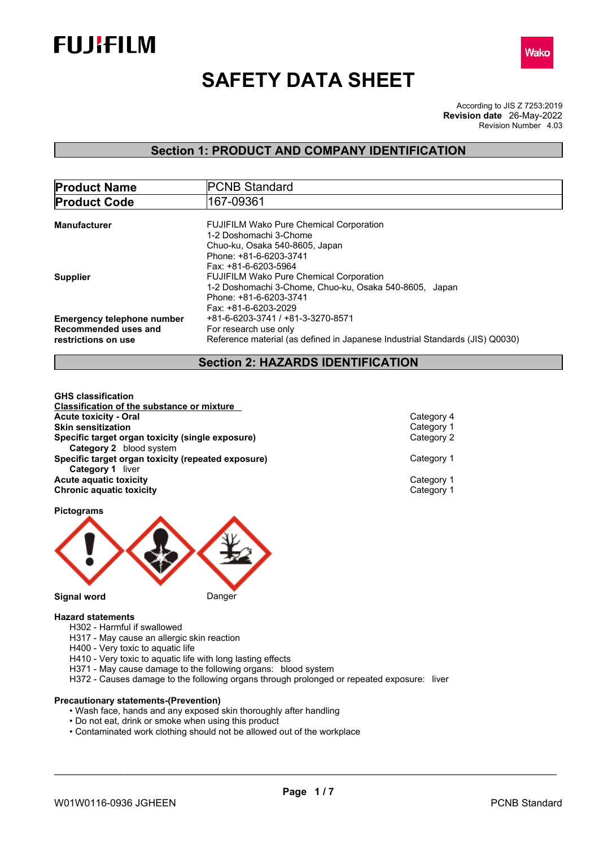



# **SAFETY DATA SHEET**

According to JIS Z 7253:2019 Revision Number 4.03 **Revision date** 26-May-2022

### **Section 1: PRODUCT AND COMPANY IDENTIFICATION**

| <b>Product Name</b>                                                              | <b>PCNB Standard</b>                                                                                                                                       |  |
|----------------------------------------------------------------------------------|------------------------------------------------------------------------------------------------------------------------------------------------------------|--|
| <b>Product Code</b>                                                              | 167-09361                                                                                                                                                  |  |
| <b>Manufacturer</b>                                                              | <b>FUJIFILM Wako Pure Chemical Corporation</b><br>1-2 Doshomachi 3-Chome                                                                                   |  |
|                                                                                  | Chuo-ku, Osaka 540-8605, Japan<br>Phone: +81-6-6203-3741<br>Fax: +81-6-6203-5964                                                                           |  |
| <b>Supplier</b>                                                                  | <b>FUJIFILM Wako Pure Chemical Corporation</b><br>1-2 Doshomachi 3-Chome, Chuo-ku, Osaka 540-8605, Japan<br>Phone: +81-6-6203-3741<br>Fax: +81-6-6203-2029 |  |
| <b>Emergency telephone number</b><br>Recommended uses and<br>restrictions on use | +81-6-6203-3741 / +81-3-3270-8571<br>For research use only<br>Reference material (as defined in Japanese Industrial Standards (JIS) Q0030)                 |  |

### **Section 2: HAZARDS IDENTIFICATION**

**GHS classification Classification of the substance or mixture Acute toxicity - Oral** Category 4 **Skin sensitization** Category 1 **Specific target organ toxicity (single exposure) Category 2** blood system **Specific target organ toxicity (repeated exposure) Category 1 Category 1** liver **Acute aquatic toxicity** Category 1 **Chronic aquatic toxicity** Category 1

**Pictograms**

**Signal word** Danger

### **Hazard statements**

- H302 Harmful if swallowed
- H317 May cause an allergic skin reaction
- H400 Very toxic to aquatic life
- H410 Very toxic to aquatic life with long lasting effects
- H371 May cause damage to the following organs: blood system
- H372 Causes damage to the following organs through prolonged or repeated exposure: liver

### **Precautionary statements-(Prevention)**

- Wash face, hands and any exposed skin thoroughly after handling
- Do not eat, drink or smoke when using this product
- Contaminated work clothing should not be allowed out of the workplace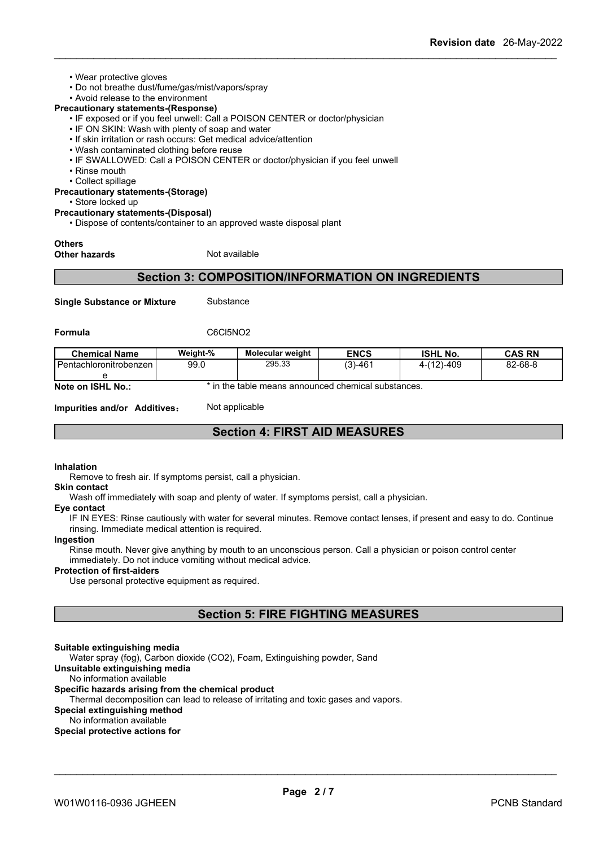- Wear protective gloves
- Do not breathe dust/fume/gas/mist/vapors/spray
- Avoid release to the environment

### **Precautionary statements-(Response)**

- IF exposed or if you feel unwell: Call a POISON CENTER or doctor/physician
- IF ON SKIN: Wash with plenty of soap and water
- If skin irritation or rash occurs: Get medical advice/attention
- Wash contaminated clothing before reuse
- IF SWALLOWED: Call a POISON CENTER or doctor/physician if you feel unwell
- Rinse mouth
- Collect spillage

### **Precautionary statements-(Storage)**

• Store locked up

### **Precautionary statements-(Disposal)**

• Dispose of contents/container to an approved waste disposal plant

### **Others**

**Other hazards** Not available

### **Section 3: COMPOSITION/INFORMATION ON INGREDIENTS**

**Single Substance or Mixture** Substance

**Formula** C6Cl5NO2

| <b>Chemical Name</b>              | Weight-% | <b>Molecular weight</b>                                                                                | <b>ENCS</b> | <b>ISHL No.</b> | CAS RN  |
|-----------------------------------|----------|--------------------------------------------------------------------------------------------------------|-------------|-----------------|---------|
| l Pentachloronitrobenzen I        | 99.0     | 295.33                                                                                                 | $(3)-461$   | $4-(12)-409$    | 82-68-8 |
|                                   |          |                                                                                                        |             |                 |         |
| $M = 4.2 \pm 0.010$ May $\approx$ |          | المتحاج والمتحاربين المتحاجمين والمراجع والمتحدث والمحاج والمستحاة والمالون والماري والمناولات والمناو |             |                 |         |

**Note on ISHL No.:** \* in the table means announced chemical substances.

**Impurities and/or Additives:** Not applicable

### **Section 4: FIRST AID MEASURES**

### **Inhalation**

Remove to fresh air. If symptoms persist, call a physician.

#### **Skin contact**

Wash off immediately with soap and plenty of water. If symptoms persist, call a physician.

#### **Eye contact**

IF IN EYES: Rinse cautiously with water for several minutes. Remove contact lenses, if present and easy to do. Continue rinsing. Immediate medical attention is required.

#### **Ingestion**

Rinse mouth. Never give anything by mouth to an unconscious person. Call a physician or poison control center immediately. Do not induce vomiting without medical advice.

### **Protection of first-aiders**

Use personal protective equipment as required.

### **Section 5: FIRE FIGHTING MEASURES**

#### **Suitable extinguishing media**

Water spray (fog), Carbon dioxide (CO2), Foam, Extinguishing powder, Sand

**Unsuitable extinguishing media** No information available

### **Specific hazards arising from the chemical product**

Thermal decomposition can lead to release of irritating and toxic gases and vapors.

### **Special extinguishing method**

No information available

### **Special protective actions for**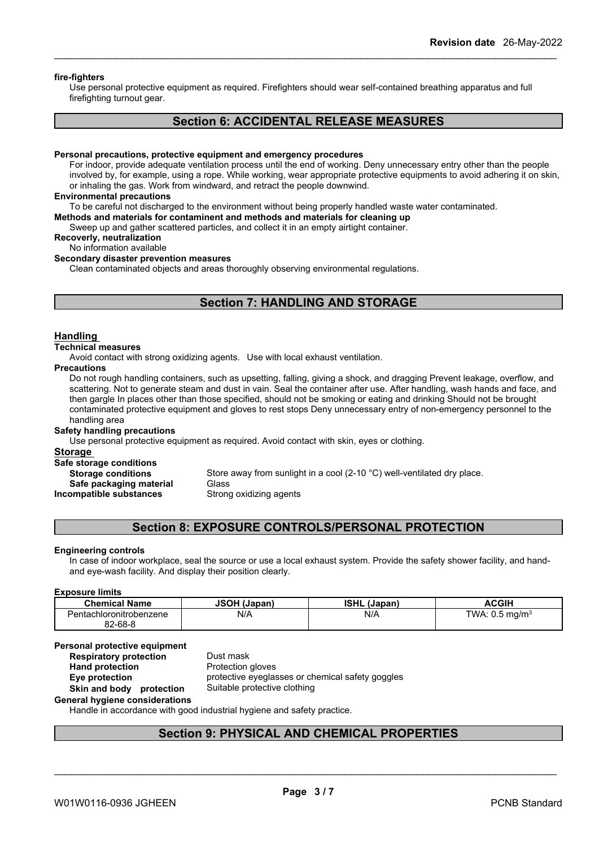### **fire-fighters**

Use personal protective equipment as required.Firefighters should wear self-contained breathing apparatus and full firefighting turnout gear.

### **Section 6: ACCIDENTAL RELEASE MEASURES**

#### **Personal precautions, protective equipment and emergency procedures**

For indoor, provide adequate ventilation process until the end of working. Deny unnecessary entry other than the people involved by, for example, using a rope. While working, wear appropriate protective equipments to avoid adhering it on skin, or inhaling the gas. Work from windward, and retract the people downwind.

#### **Environmental precautions**

To be careful not discharged to the environment without being properly handled waste water contaminated.

### **Methods and materials for contaminent and methods and materials for cleaning up**

Sweep up and gather scattered particles, and collect it in an empty airtight container.

**Recoverly, neutralization**

### No information available

### **Secondary disaster prevention measures**

Clean contaminated objects and areas thoroughly observing environmental regulations.

### **Section 7: HANDLING AND STORAGE**

### **Handling**

#### **Technical measures**

Avoid contact with strong oxidizing agents. Use with local exhaust ventilation.

### **Precautions**

Do not rough handling containers, such as upsetting, falling, giving a shock, and dragging Prevent leakage, overflow, and scattering. Not to generate steam and dust in vain. Seal the container after use. After handling, wash hands and face, and then gargle In places other than those specified, should not be smoking or eating and drinking Should not be brought contaminated protective equipment and gloves to rest stops Deny unnecessary entry of non-emergency personnel to the handling area

### **Safety handling precautions**

Use personal protective equipment as required.Avoid contact with skin, eyes or clothing.

#### **Storage**

**Safe storage conditions**

**Safe packaging material** Glass

**Storage conditions** Store away from sunlight in a cool (2-10 °C) well-ventilated dry place. **Incompatible substances** Strong oxidizing agents

### **Section 8: EXPOSURE CONTROLS/PERSONAL PROTECTION**

### **Engineering controls**

In case of indoor workplace, seal the source or use a local exhaust system. Provide the safety shower facility, and handand eye-wash facility. And display their position clearly.

#### **Exposure limits**

| <b>Chemical Name</b>    | <b>JSOH (Japan)</b> | ISHL<br>(Japan, | <b>ACGIH</b>                                        |
|-------------------------|---------------------|-----------------|-----------------------------------------------------|
| Pentachloronitrobenzene | N/A                 | N/f             | TWA:<br>$\sim$<br>ma/m <sup>3</sup><br>ີ<br>$\cdot$ |
| 82-68-8<br>nn.          |                     |                 |                                                     |

#### **Personal protective equipment**<br>**Respiratory protection** Dust mask **Respiratory** protection

**Hand protection** Protection gloves **Eye protection** protective eyeglasses or chemical safety goggles **Skin and body protection** Suitable protective clothing

### **General hygiene considerations**

Handle in accordance with good industrial hygiene and safety practice.

### **Section 9: PHYSICAL AND CHEMICAL PROPERTIES**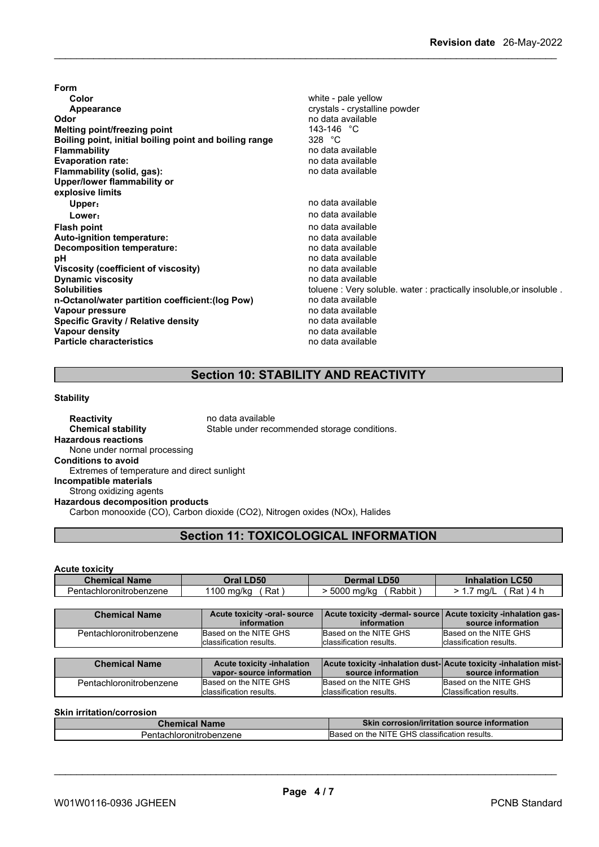**Form Color** white - pale yellow **Appearance crystalline** powder **Odor** no data available **Melting point/freezing point**<br>**Boiling point, initial boiling point and boiling range** 328 °C **Boiling point, initial boiling point and boiling range<br>Flammability Evaporation rate:** no data available **Flammability** (solid, gas): **Upper/lower flammability or explosive limits Upper:** no data available **Lower:** no data available **Flash point** no data available **Auto-ignition temperature: Decomposition temperature:** no data available **pH** no data available<br> **Viscosity (coefficient of viscosity)** no data available **Viscosity (coefficient of viscosity)** no data available **Dynamic** viscosity **n-Octanol/water partition coefficient:(log Pow)** no data available **Vapour pressure** no data available<br> **Specific Gravity / Relative density** enter the no data available **Specific Gravity / Relative density and the control of the Vapour density Vapour density Vapour density Vapour density Particle characteristics** no data available

**Flammability** no data available Solubilities **Solubilities** toluene : Very soluble. water : practically insoluble, or insoluble .

### **Section 10: STABILITY AND REACTIVITY**

### **Stability**

**Reactivity no data available Chemical stability** Stable under recommended storage conditions. **Hazardous reactions** None under normal processing **Conditions to avoid** Extremes of temperature and direct sunlight **Incompatible materials** Strong oxidizing agents **Hazardous decomposition products** Carbon monooxide (CO), Carbon dioxide (CO2), Nitrogen oxides (NOx), Halides

### **Section 11: TOXICOLOGICAL INFORMATION**

**Acute toxicity**

| <b>Chemical Name</b>    | Oral LD50           | <b>LD50</b><br>Dermal ∣        | $\mathsf{\mathsf{L}C50}$<br><b>Inhalation</b> |
|-------------------------|---------------------|--------------------------------|-----------------------------------------------|
| Pentachloronitrobenzene | 100<br>Rat<br>ma/kc | 5000<br>.<br>Rabbit<br>) ma/ko | Rat<br>--<br>ma/L<br>$\overline{\phantom{a}}$ |

| <b>Chemical Name</b>    | Acute toxicity -oral- source<br>information                   | Acute toxicity -dermal- source   Acute toxicity -inhalation gas-  <br>information      | source information       |
|-------------------------|---------------------------------------------------------------|----------------------------------------------------------------------------------------|--------------------------|
| Pentachloronitrobenzene | Based on the NITE GHS                                         | Based on the NITE GHS                                                                  | Based on the NITE GHS    |
|                         | classification results.                                       | classification results.                                                                | Iclassification results. |
|                         |                                                               |                                                                                        |                          |
|                         |                                                               |                                                                                        |                          |
| <b>Chemical Name</b>    | <b>Acute toxicity -inhalation</b><br>vapor-source information | Acute toxicity -inhalation dust-Acute toxicity -inhalation mist-<br>source information | source information       |
| Pentachloronitrobenzene | Based on the NITE GHS                                         | Based on the NITE GHS                                                                  | Based on the NITE GHS    |

### **Skin irritation/corrosion**

| $\omega$ nemical Name   | <b>Skin corrosion/irritation source information</b> |
|-------------------------|-----------------------------------------------------|
| Pentachloronitrobenzene | GHS classification results.<br>Based on the NITE    |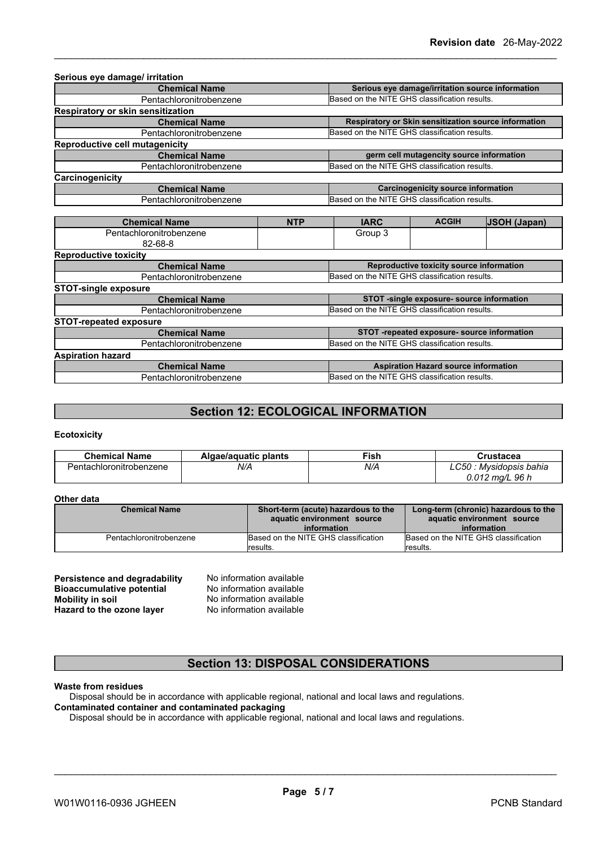| <b>Chemical Name</b>              |                         | Serious eye damage/irritation source information |                                               |                                                      |
|-----------------------------------|-------------------------|--------------------------------------------------|-----------------------------------------------|------------------------------------------------------|
| Pentachloronitrobenzene           |                         | Based on the NITE GHS classification results.    |                                               |                                                      |
| Respiratory or skin sensitization |                         |                                                  |                                               |                                                      |
| <b>Chemical Name</b>              |                         |                                                  |                                               | Respiratory or Skin sensitization source information |
| Pentachloronitrobenzene           |                         | Based on the NITE GHS classification results.    |                                               |                                                      |
| Reproductive cell mutagenicity    |                         |                                                  |                                               |                                                      |
| <b>Chemical Name</b>              |                         |                                                  | germ cell mutagencity source information      |                                                      |
| Pentachloronitrobenzene           |                         | Based on the NITE GHS classification results.    |                                               |                                                      |
| Carcinogenicity                   |                         |                                                  |                                               |                                                      |
| <b>Chemical Name</b>              |                         |                                                  | <b>Carcinogenicity source information</b>     |                                                      |
| Pentachloronitrobenzene           |                         | Based on the NITE GHS classification results.    |                                               |                                                      |
|                                   |                         |                                                  |                                               |                                                      |
| <b>Chemical Name</b>              | <b>NTP</b>              | <b>IARC</b>                                      | <b>ACGIH</b>                                  | <b>JSOH (Japan)</b>                                  |
| Pentachloronitrobenzene           |                         | Group 3                                          |                                               |                                                      |
| $82 - 68 - 8$                     |                         |                                                  |                                               |                                                      |
| <b>Reproductive toxicity</b>      |                         |                                                  |                                               |                                                      |
| <b>Chemical Name</b>              |                         | Reproductive toxicity source information         |                                               |                                                      |
| Pentachloronitrobenzene           |                         | Based on the NITE GHS classification results.    |                                               |                                                      |
| <b>STOT-single exposure</b>       |                         |                                                  |                                               |                                                      |
| <b>Chemical Name</b>              |                         | STOT -single exposure- source information        |                                               |                                                      |
| Pentachloronitrobenzene           |                         | Based on the NITE GHS classification results.    |                                               |                                                      |
| <b>STOT-repeated exposure</b>     |                         |                                                  |                                               |                                                      |
|                                   | <b>Chemical Name</b>    |                                                  | STOT -repeated exposure- source information   |                                                      |
|                                   | Pentachloronitrobenzene |                                                  | Based on the NITE GHS classification results. |                                                      |
| <b>Aspiration hazard</b>          |                         |                                                  |                                               |                                                      |
| <b>Chemical Name</b>              |                         | <b>Aspiration Hazard source information</b>      |                                               |                                                      |
| Pentachloronitrobenzene           |                         | Based on the NITE GHS classification results.    |                                               |                                                      |

### **Section 12: ECOLOGICAL INFORMATION**

### **Ecotoxicity**

| <b>Chemical Name</b>    | Algae/aguatic plants | Fish | Crustacea                        |
|-------------------------|----------------------|------|----------------------------------|
| Pentachloronitrobenzene | N/A                  | N/A  | ∩รก<br>: Mvsidopsis bahia<br>∟∪∪ |
|                         |                      |      | $0.012$ ma/L 96 h                |

### **Other data**

| <b>Chemical Name</b>    | Short-term (acute) hazardous to the<br>aquatic environment source<br>information | Long-term (chronic) hazardous to the<br>aquatic environment source<br>information |
|-------------------------|----------------------------------------------------------------------------------|-----------------------------------------------------------------------------------|
| Pentachloronitrobenzene | Based on the NITE GHS classification<br><i>I</i> results.                        | Based on the NITE GHS classification<br>results.                                  |

| Persistence and degradability    | No information available |
|----------------------------------|--------------------------|
| <b>Bioaccumulative potential</b> | No information available |
| Mobility in soil                 | No information available |
| Hazard to the ozone layer        | No information available |

### **Section 13: DISPOSAL CONSIDERATIONS**

### **Waste from residues**

Disposal should be in accordance with applicable regional, national and local laws and regulations. **Contaminated container and contaminated packaging**

Disposal should be in accordance with applicable regional, national and local laws and regulations.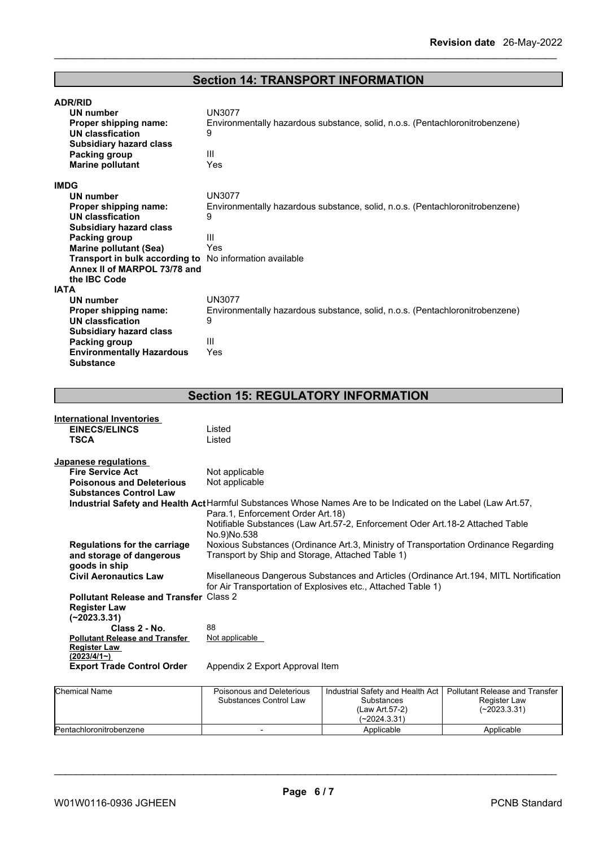## **Section 14: TRANSPORT INFORMATION**

| <b>ADR/RID</b>                                                 |                                                                              |
|----------------------------------------------------------------|------------------------------------------------------------------------------|
| UN number                                                      | <b>UN3077</b>                                                                |
| Proper shipping name:                                          | Environmentally hazardous substance, solid, n.o.s. (Pentachloronitrobenzene) |
| UN classfication                                               | 9                                                                            |
| <b>Subsidiary hazard class</b>                                 |                                                                              |
| Packing group                                                  | Ш                                                                            |
| <b>Marine pollutant</b>                                        | Yes                                                                          |
| <b>IMDG</b>                                                    |                                                                              |
| <b>UN number</b>                                               | <b>UN3077</b>                                                                |
| Proper shipping name:                                          | Environmentally hazardous substance, solid, n.o.s. (Pentachloronitrobenzene) |
| UN classfication                                               | 9                                                                            |
| <b>Subsidiary hazard class</b>                                 |                                                                              |
| Packing group                                                  | Ш                                                                            |
| <b>Marine pollutant (Sea)</b>                                  | Yes                                                                          |
| <b>Transport in bulk according to</b> No information available |                                                                              |
| Annex II of MARPOL 73/78 and                                   |                                                                              |
| the IBC Code                                                   |                                                                              |
| <b>IATA</b>                                                    |                                                                              |
| UN number                                                      | <b>UN3077</b>                                                                |
| <b>Proper shipping name:</b>                                   | Environmentally hazardous substance, solid, n.o.s. (Pentachloronitrobenzene) |
| <b>UN classfication</b>                                        | 9                                                                            |
| <b>Subsidiary hazard class</b>                                 |                                                                              |
| Packing group                                                  | Ш                                                                            |
| <b>Environmentally Hazardous</b>                               | Yes                                                                          |
| <b>Substance</b>                                               |                                                                              |

## **Section 15: REGULATORY INFORMATION**

| <b>International Inventories</b>              |                                                                                                                      |
|-----------------------------------------------|----------------------------------------------------------------------------------------------------------------------|
| <b>EINECS/ELINCS</b>                          | Listed                                                                                                               |
| <b>TSCA</b>                                   | Listed                                                                                                               |
|                                               |                                                                                                                      |
| Japanese regulations                          |                                                                                                                      |
| <b>Fire Service Act</b>                       | Not applicable                                                                                                       |
| <b>Poisonous and Deleterious</b>              | Not applicable                                                                                                       |
| <b>Substances Control Law</b>                 |                                                                                                                      |
|                                               | <b>Industrial Safety and Health Act</b> Harmful Substances Whose Names Are to be Indicated on the Label (Law Art.57, |
|                                               | Para.1, Enforcement Order Art.18)                                                                                    |
|                                               | Notifiable Substances (Law Art.57-2, Enforcement Oder Art.18-2 Attached Table                                        |
|                                               | No.9)No.538                                                                                                          |
| <b>Regulations for the carriage</b>           | Noxious Substances (Ordinance Art.3, Ministry of Transportation Ordinance Regarding                                  |
| and storage of dangerous                      | Transport by Ship and Storage, Attached Table 1)                                                                     |
| goods in ship                                 |                                                                                                                      |
| <b>Civil Aeronautics Law</b>                  | Misellaneous Dangerous Substances and Articles (Ordinance Art. 194, MITL Nortification                               |
|                                               | for Air Transportation of Explosives etc., Attached Table 1)                                                         |
| <b>Pollutant Release and Transfer Class 2</b> |                                                                                                                      |
| <b>Register Law</b>                           |                                                                                                                      |
| $(-2023.3.31)$                                |                                                                                                                      |
| Class 2 - No.                                 | 88                                                                                                                   |
| <b>Pollutant Release and Transfer</b>         | Not applicable                                                                                                       |
| <b>Register Law</b>                           |                                                                                                                      |
| (2023/4/1)                                    |                                                                                                                      |
| <b>Export Trade Control Order</b>             | Appendix 2 Export Approval Item                                                                                      |
|                                               |                                                                                                                      |

| <b>Chemical Name</b>    | Poisonous and Deleterious<br>Substances Control Law | Industrial Safety and Health Act   Pollutant Release and Transfer<br>Substances<br>(Law Art.57-2)<br>(~2024.3.31) | Register Law<br>$(-2023.3.31)$ |
|-------------------------|-----------------------------------------------------|-------------------------------------------------------------------------------------------------------------------|--------------------------------|
| Pentachloronitrobenzene |                                                     | Applicable                                                                                                        | Applicable                     |